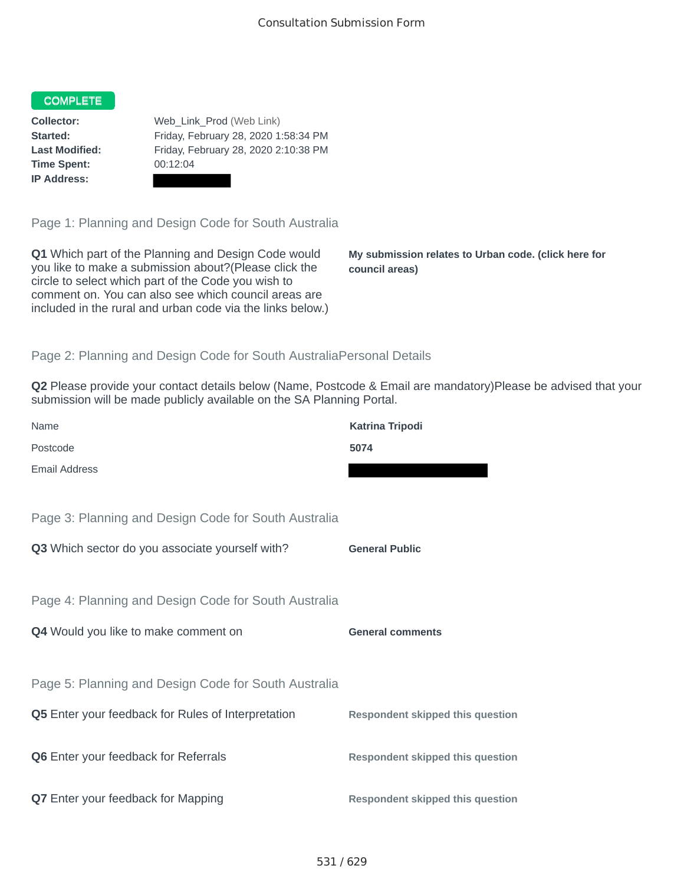## COMPLETE

**Time Spent:** 00:12:04 **IP Address:**

**Collector:** Web\_Link\_Prod (Web Link) **Started:** Friday, February 28, 2020 1:58:34 PM **Last Modified:** Friday, February 28, 2020 2:10:38 PM

Page 1: Planning and Design Code for South Australia

**Q1** Which part of the Planning and Design Code would you like to make a submission about?(Please click the circle to select which part of the Code you wish to comment on. You can also see which council areas are included in the rural and urban code via the links below.)

**My submission relates to Urban code. (click here for council areas)**

## Page 2: Planning and Design Code for South AustraliaPersonal Details

**Q2** Please provide your contact details below (Name, Postcode & Email are mandatory)Please be advised that your submission will be made publicly available on the SA Planning Portal.

| Name                                                      | <b>Katrina Tripodi</b>                  |
|-----------------------------------------------------------|-----------------------------------------|
| Postcode                                                  | 5074                                    |
| <b>Email Address</b>                                      |                                         |
|                                                           |                                         |
| Page 3: Planning and Design Code for South Australia      |                                         |
| Q3 Which sector do you associate yourself with?           | <b>General Public</b>                   |
|                                                           |                                         |
| Page 4: Planning and Design Code for South Australia      |                                         |
| Q4 Would you like to make comment on                      | <b>General comments</b>                 |
|                                                           |                                         |
| Page 5: Planning and Design Code for South Australia      |                                         |
| <b>Q5</b> Enter your feedback for Rules of Interpretation | <b>Respondent skipped this question</b> |
|                                                           |                                         |
| Q6 Enter your feedback for Referrals                      | <b>Respondent skipped this question</b> |
|                                                           |                                         |
| <b>Q7</b> Enter your feedback for Mapping                 | <b>Respondent skipped this question</b> |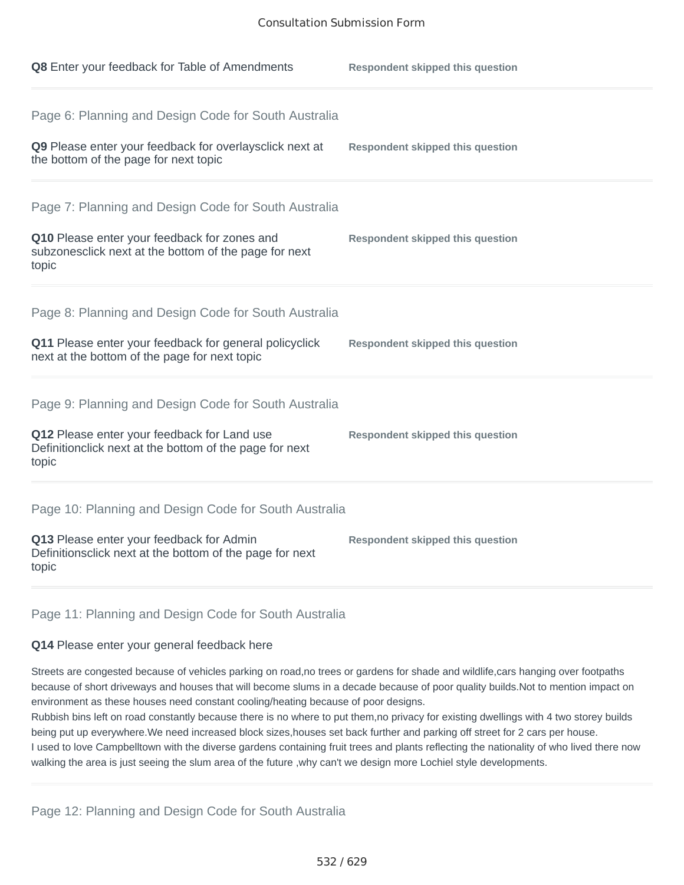| Q8 Enter your feedback for Table of Amendments                                                                                                                          | <b>Respondent skipped this question</b> |
|-------------------------------------------------------------------------------------------------------------------------------------------------------------------------|-----------------------------------------|
| Page 6: Planning and Design Code for South Australia<br>Q9 Please enter your feedback for overlaysclick next at<br>the bottom of the page for next topic                | <b>Respondent skipped this question</b> |
| Page 7: Planning and Design Code for South Australia<br>Q10 Please enter your feedback for zones and<br>subzonesclick next at the bottom of the page for next<br>topic  | <b>Respondent skipped this question</b> |
| Page 8: Planning and Design Code for South Australia<br>Q11 Please enter your feedback for general policyclick<br>next at the bottom of the page for next topic         | <b>Respondent skipped this question</b> |
| Page 9: Planning and Design Code for South Australia<br>Q12 Please enter your feedback for Land use<br>Definitionclick next at the bottom of the page for next<br>topic | <b>Respondent skipped this question</b> |
| Page 10: Planning and Design Code for South Australia<br>Q13 Please enter your feedback for Admin<br>Definitionsclick next at the bottom of the page for next<br>topic  | <b>Respondent skipped this question</b> |

## Page 11: Planning and Design Code for South Australia

## **Q14** Please enter your general feedback here

Streets are congested because of vehicles parking on road,no trees or gardens for shade and wildlife,cars hanging over footpaths because of short driveways and houses that will become slums in a decade because of poor quality builds.Not to mention impact on environment as these houses need constant cooling/heating because of poor designs.

Rubbish bins left on road constantly because there is no where to put them,no privacy for existing dwellings with 4 two storey builds being put up everywhere.We need increased block sizes,houses set back further and parking off street for 2 cars per house. I used to love Campbelltown with the diverse gardens containing fruit trees and plants reflecting the nationality of who lived there now walking the area is just seeing the slum area of the future ,why can't we design more Lochiel style developments.

Page 12: Planning and Design Code for South Australia